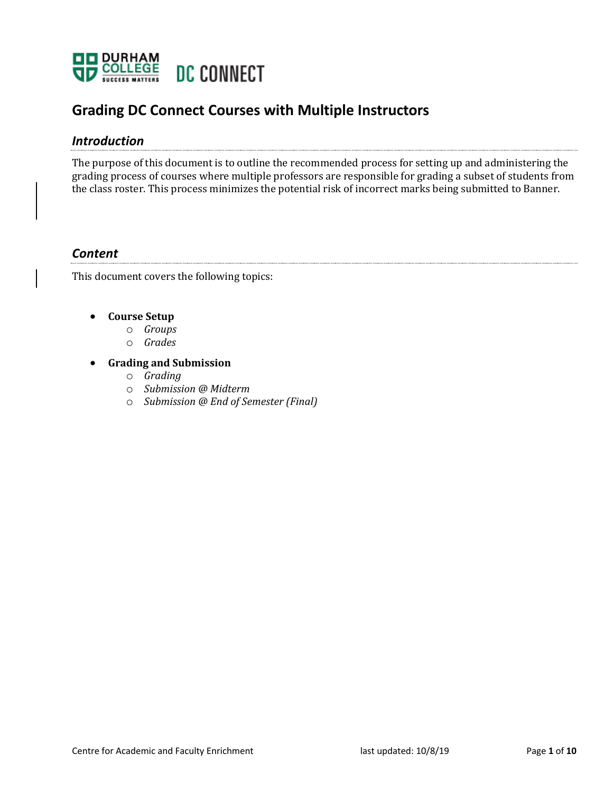

# **Grading DC Connect Courses with Multiple Instructors**

## *Introduction*

The purpose of this document is to outline the recommended process for setting up and administering the grading process of courses where multiple professors are responsible for grading a subset of students from the class roster. This process minimizes the potential risk of incorrect marks being submitted to Banner.

### *Content*

This document covers the following topics:

#### • **Course Setup**

- o *Groups*
- o *Grades*

### **•** Grading and Submission

- o *Grading*
- o *Submission @ Midterm*
- o *Submission @ End of Semester (Final)*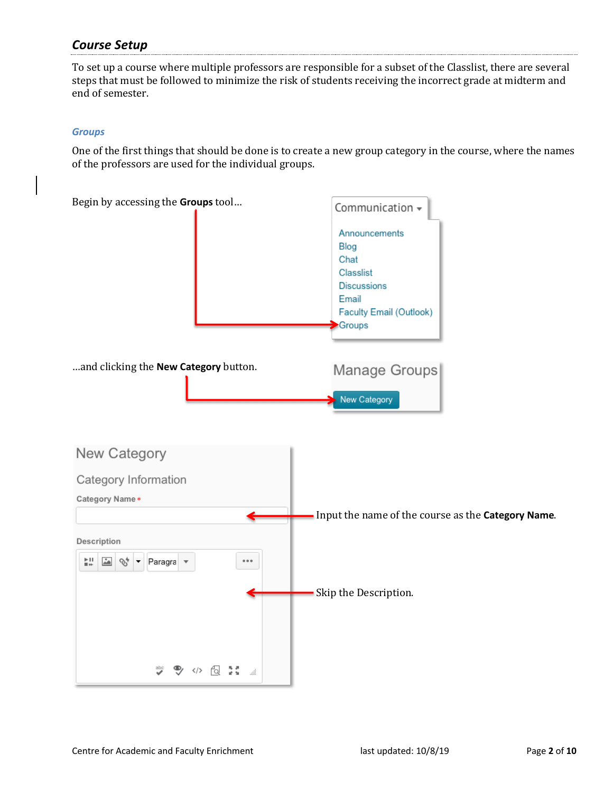## *Course Setup*

To set up a course where multiple professors are responsible for a subset of the Classlist, there are several steps that must be followed to minimize the risk of students receiving the incorrect grade at midterm and end of semester.

#### *Groups*

One of the first things that should be done is to create a new group category in the course, where the names of the professors are used for the individual groups.

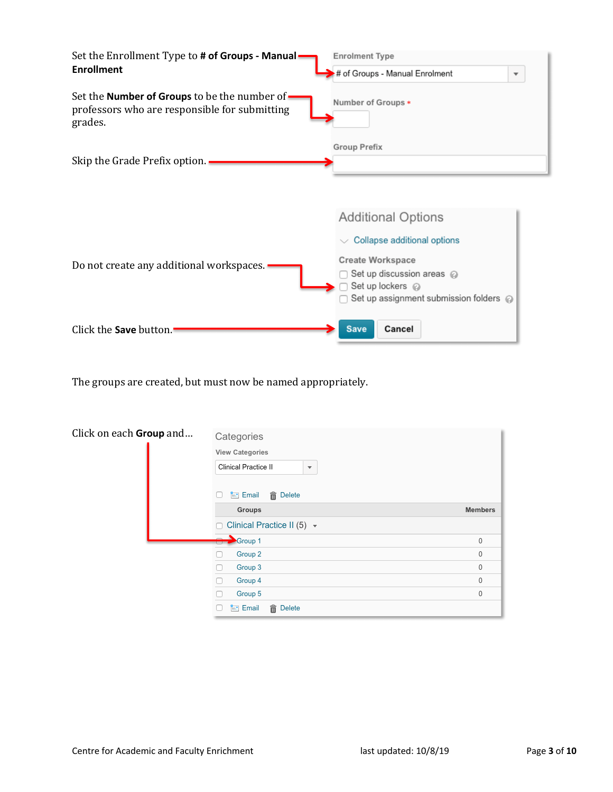| Set the Enrollment Type to # of Groups - Manual -                                                         | <b>Enrolment Type</b>                                     |  |  |
|-----------------------------------------------------------------------------------------------------------|-----------------------------------------------------------|--|--|
| <b>Enrollment</b>                                                                                         | # of Groups - Manual Enrolment<br>$\overline{\mathbf{v}}$ |  |  |
| Set the Number of Groups to be the number of-<br>professors who are responsible for submitting<br>grades. | Number of Groups *                                        |  |  |
| Skip the Grade Prefix option.                                                                             | Group Prefix                                              |  |  |

|                                          | <b>Additional Options</b>                                                                                                         |
|------------------------------------------|-----------------------------------------------------------------------------------------------------------------------------------|
|                                          | $\vee$ Collapse additional options                                                                                                |
| Do not create any additional workspaces. | <b>Create Workspace</b><br>Set up discussion areas @<br>◯ Set up lockers ⓒ<br>$\Box$ Set up assignment submission folders $\odot$ |
| Click the <b>Save</b> button.            | Cancel<br><b>Save</b>                                                                                                             |

The groups are created, but must now be named appropriately.

| Click on each Group and | Categories<br><b>View Categories</b><br>Clinical Practice II<br>$\overline{\mathbf v}$ |                |
|-------------------------|----------------------------------------------------------------------------------------|----------------|
|                         | <b>而</b> Delete<br><b>上」Email</b><br>п<br>Groups                                       | <b>Members</b> |
|                         | Clinical Practice II (5) $\sqrt{ }$<br>n                                               |                |
|                         | $\rightarrow$ Group 1                                                                  | 0              |
|                         | Group <sub>2</sub>                                                                     | 0              |
|                         | Group 3                                                                                | 0              |
|                         | Group 4                                                                                | 0              |
|                         | Group 5                                                                                | 0              |
|                         | m Delete<br>Email<br>ħ.                                                                |                |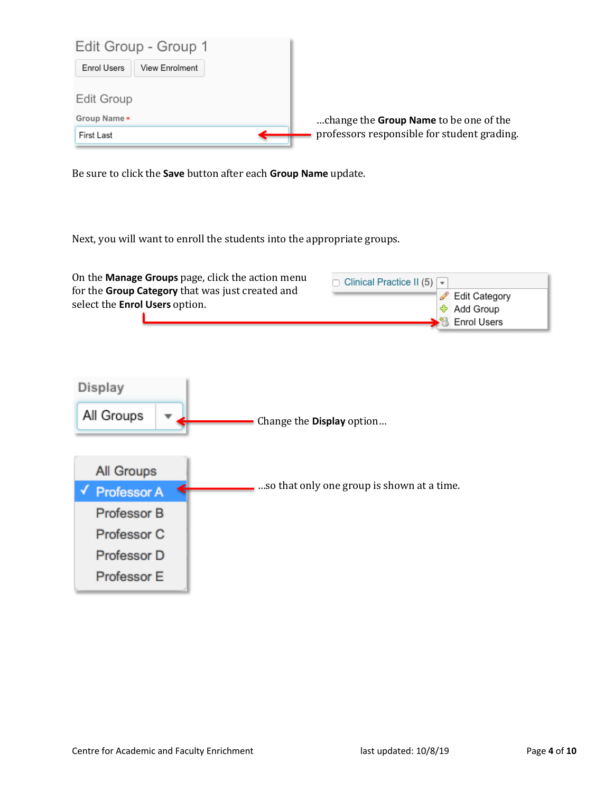

Be sure to click the **Save** button after each **Group Name** update.

Next, you will want to enroll the students into the appropriate groups.

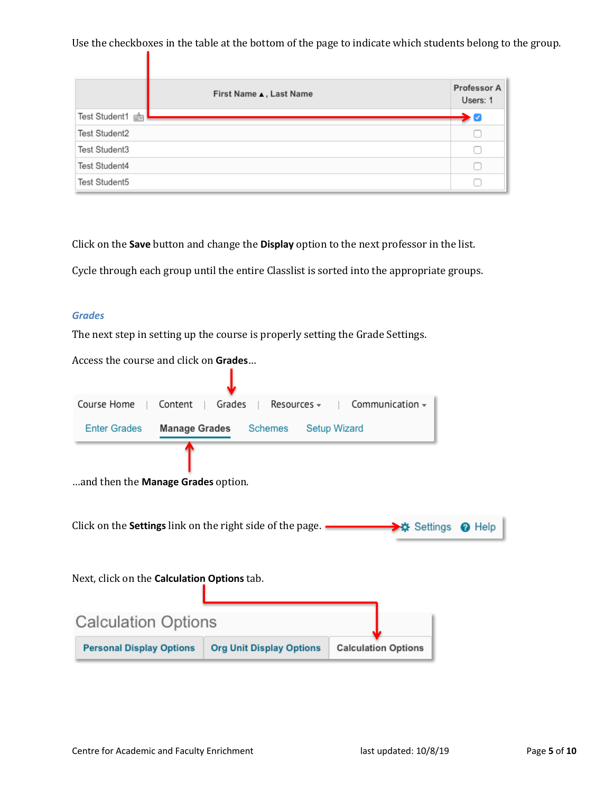Use the checkboxes in the table at the bottom of the page to indicate which students belong to the group.

|                 | First Name , Last Name | <b>Professor A</b><br>Users: 1         |
|-----------------|------------------------|----------------------------------------|
| Test Student1 a |                        | $\blacktriangleright$ $\triangleright$ |
| Test Student2   |                        |                                        |
| Test Student3   |                        |                                        |
| Test Student4   |                        |                                        |
| Test Student5   |                        |                                        |

Click on the **Save** button and change the **Display** option to the next professor in the list.

Cycle through each group until the entire Classlist is sorted into the appropriate groups.

#### *Grades*

The next step in setting up the course is properly setting the Grade Settings.

Access the course and click on Grades...

| Course Home<br>Content                                           | Grades<br>Resources $\overline{\mathbb{F}}$ | Communication $\sim$       |  |
|------------------------------------------------------------------|---------------------------------------------|----------------------------|--|
| <b>Enter Grades</b><br><b>Manage Grades</b>                      | Schemes                                     | <b>Setup Wizard</b>        |  |
|                                                                  |                                             |                            |  |
| and then the <b>Manage Grades</b> option.                        |                                             |                            |  |
|                                                                  |                                             |                            |  |
| Click on the <b>Settings</b> link on the right side of the page. |                                             | → Settings ● Help          |  |
|                                                                  |                                             |                            |  |
| Next, click on the <b>Calculation Options</b> tab.               |                                             |                            |  |
|                                                                  |                                             |                            |  |
|                                                                  |                                             |                            |  |
| <b>Calculation Options</b>                                       |                                             |                            |  |
| <b>Personal Display Options</b>                                  | <b>Org Unit Display Options</b>             | <b>Calculation Options</b> |  |
|                                                                  |                                             |                            |  |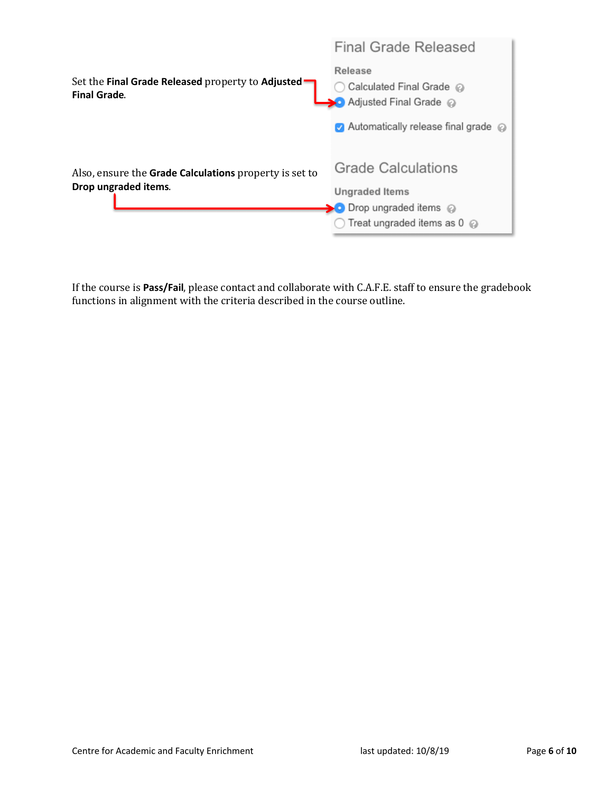| Final Grade Released<br>Release<br>Calculated Final Grade @<br>Adjusted Final Grade @                                  |  |
|------------------------------------------------------------------------------------------------------------------------|--|
| Automatically release final grade @                                                                                    |  |
| <b>Grade Calculations</b><br><b>Ungraded Items</b><br>> O Drop ungraded items @<br>Treat ungraded items as $0 \oslash$ |  |
|                                                                                                                        |  |

If the course is Pass/Fail, please contact and collaborate with C.A.F.E. staff to ensure the gradebook functions in alignment with the criteria described in the course outline.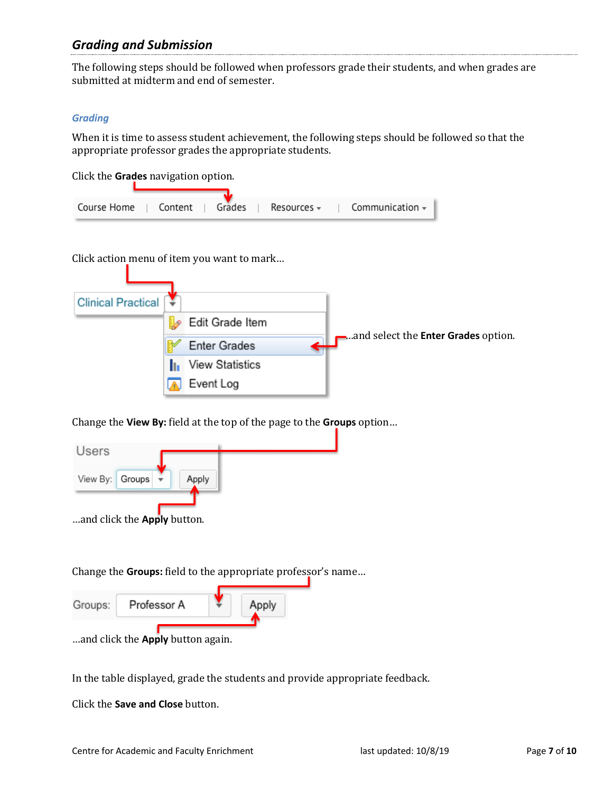## *Grading and Submission*

The following steps should be followed when professors grade their students, and when grades are submitted at midterm and end of semester.

#### *Grading*

When it is time to assess student achievement, the following steps should be followed so that the appropriate professor grades the appropriate students.

Click the **Grades** navigation option.

| Course Home | Content | Grades | Resources $\overline{\mathbf{v}}$ | Communication $\sim$ |
|-------------|---------|--------|-----------------------------------|----------------------|

Click action menu of item you want to mark...

| <b>Clinical Practical</b> |                     |                                            |
|---------------------------|---------------------|--------------------------------------------|
|                           | Edit Grade Item     |                                            |
|                           | <b>Enter Grades</b> | and select the <b>Enter Grades</b> option. |
|                           | View Statistics     |                                            |
|                           | Event Log           |                                            |

Change the View By: field at the top of the page to the Groups option...



Change the Groups: field to the appropriate professor's name...

| Groups: | Professor A                       |  |  |
|---------|-----------------------------------|--|--|
|         | and click the Apply button again. |  |  |

In the table displayed, grade the students and provide appropriate feedback.

Click the **Save and Close** button.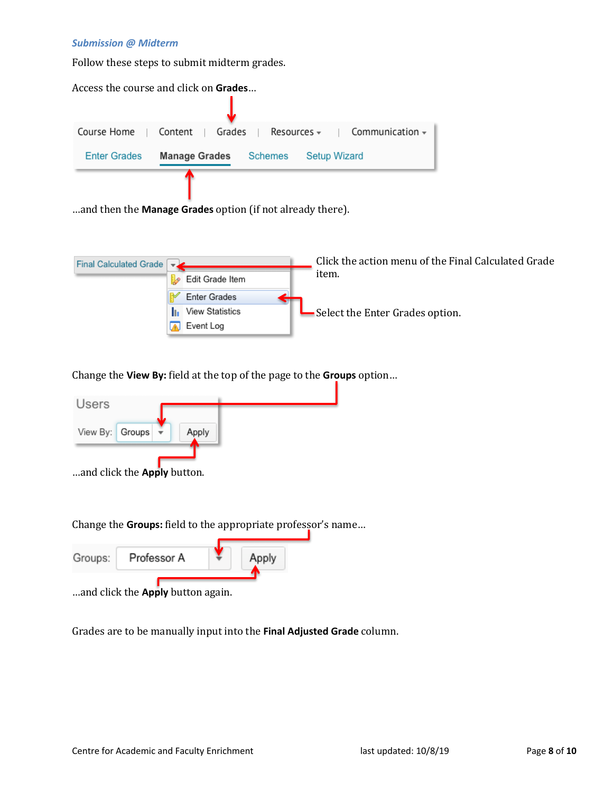#### *Submission @ Midterm*

Follow these steps to submit midterm grades.

| Access the course and click on <b>Grades</b> |                       |                     |                                           |
|----------------------------------------------|-----------------------|---------------------|-------------------------------------------|
|                                              |                       |                     |                                           |
| Course Home   Content                        | Grades                |                     | Resources $\star$   Communication $\star$ |
| <b>Enter Grades</b>                          | Manage Grades Schemes | <b>Setup Wizard</b> |                                           |
|                                              |                       |                     |                                           |

...and then the **Manage Grades** option (if not already there).

| Final Calculated Grade $\rightarrow$ |                     | Click the action menu of the Final Calculated Grade |
|--------------------------------------|---------------------|-----------------------------------------------------|
|                                      | Edit Grade Item     | item.                                               |
|                                      | <b>Enter Grades</b> |                                                     |
|                                      | View Statistics     | Select the Enter Grades option.                     |
|                                      | Event Log           |                                                     |

Change the View By: field at the top of the page to the Groups option...



Change the **Groups:** field to the appropriate professor's name...

| Groups: | Professor A                      | Apply |  |
|---------|----------------------------------|-------|--|
|         | and click the Annly button again |       |  |

…and click the **Apply** button again.

Grades are to be manually input into the Final Adjusted Grade column.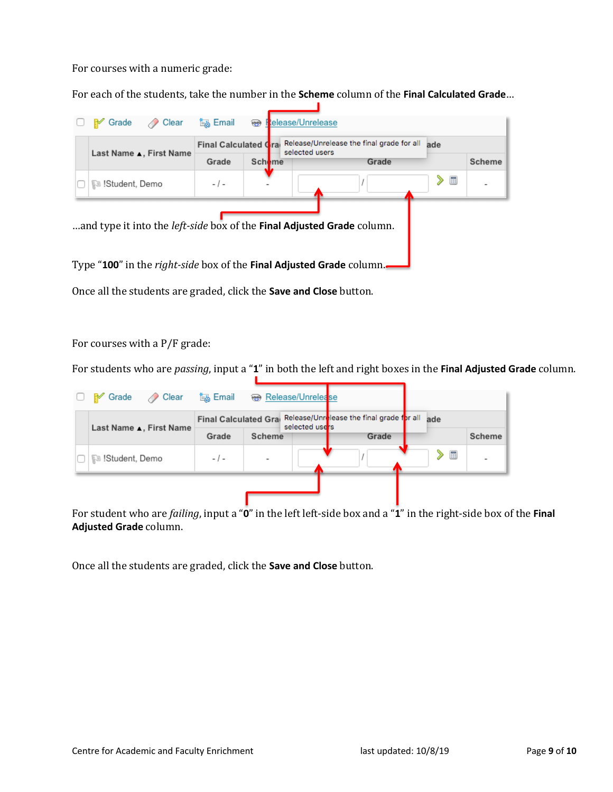For courses with a numeric grade:

For each of the students, take the number in the **Scheme** column of the Final Calculated Grade...

|  | Last Name L, First Name | Release/Unrelease the final grade for all<br>Final Calculated Cra<br>selected users |               |       | ade |        |  |
|--|-------------------------|-------------------------------------------------------------------------------------|---------------|-------|-----|--------|--|
|  |                         | Grade                                                                               | <b>Scheme</b> | Grade |     | Scheme |  |
|  | ୍ଭିଞ !Student, Demo     | - 1 -                                                                               |               |       | 圛   |        |  |
|  |                         |                                                                                     |               |       |     |        |  |

Once all the students are graded, click the **Save and Close** button.

For courses with a  $P/F$  grade:

For students who are *passing*, input a "1" in both the left and right boxes in the Final Adjusted Grade column.

| <b>P</b> Grade<br>⊘ Clear | 陶 Email |        | Release/Unrelease                                                                 |       |  |     |        |
|---------------------------|---------|--------|-----------------------------------------------------------------------------------|-------|--|-----|--------|
|                           |         |        | Final Calculated Grai Release/Unrelease the final grade for all<br>selected users |       |  | ade |        |
| Last Name L, First Name   | Grade   | Scheme |                                                                                   | Grade |  |     | Scheme |
| ि !Student, Demo          | $-1-$   | ۰      |                                                                                   |       |  | 畐   |        |
|                           |         |        |                                                                                   |       |  |     |        |

For student who are *failing*, input a "**0**" in the left left-side box and a "**1**" in the right-side box of the Final **Adjusted Grade** column. 

Once all the students are graded, click the **Save and Close** button.